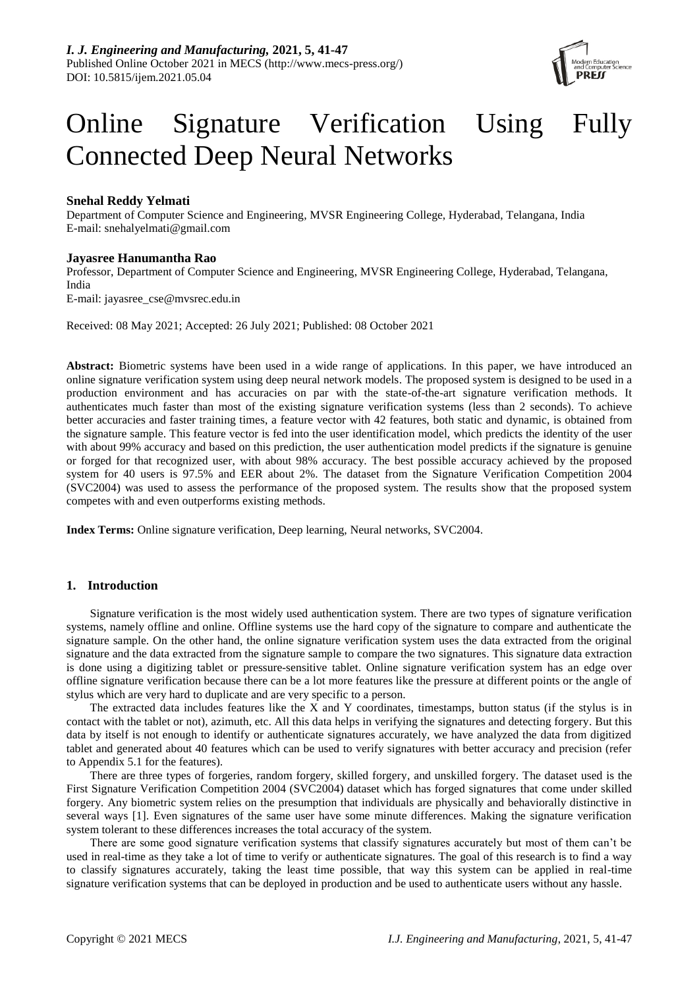

# Online Signature Verification Using Fully Connected Deep Neural Networks

# **Snehal Reddy Yelmati**

Department of Computer Science and Engineering, MVSR Engineering College, Hyderabad, Telangana, India E-mail: snehalyelmati@gmail.com

## **Jayasree Hanumantha Rao**

Professor, Department of Computer Science and Engineering, MVSR Engineering College, Hyderabad, Telangana, India E-mail: jayasree\_cse@mvsrec.edu.in

Received: 08 May 2021; Accepted: 26 July 2021; Published: 08 October 2021

**Abstract:** Biometric systems have been used in a wide range of applications. In this paper, we have introduced an online signature verification system using deep neural network models. The proposed system is designed to be used in a production environment and has accuracies on par with the state-of-the-art signature verification methods. It authenticates much faster than most of the existing signature verification systems (less than 2 seconds). To achieve better accuracies and faster training times, a feature vector with 42 features, both static and dynamic, is obtained from the signature sample. This feature vector is fed into the user identification model, which predicts the identity of the user with about 99% accuracy and based on this prediction, the user authentication model predicts if the signature is genuine or forged for that recognized user, with about 98% accuracy. The best possible accuracy achieved by the proposed system for 40 users is 97.5% and EER about 2%. The dataset from the Signature Verification Competition 2004 (SVC2004) was used to assess the performance of the proposed system. The results show that the proposed system competes with and even outperforms existing methods.

**Index Terms:** Online signature verification, Deep learning, Neural networks, SVC2004.

# **1. Introduction**

Signature verification is the most widely used authentication system. There are two types of signature verification systems, namely offline and online. Offline systems use the hard copy of the signature to compare and authenticate the signature sample. On the other hand, the online signature verification system uses the data extracted from the original signature and the data extracted from the signature sample to compare the two signatures. This signature data extraction is done using a digitizing tablet or pressure-sensitive tablet. Online signature verification system has an edge over offline signature verification because there can be a lot more features like the pressure at different points or the angle of stylus which are very hard to duplicate and are very specific to a person.

The extracted data includes features like the X and Y coordinates, timestamps, button status (if the stylus is in contact with the tablet or not), azimuth, etc. All this data helps in verifying the signatures and detecting forgery. But this data by itself is not enough to identify or authenticate signatures accurately, we have analyzed the data from digitized tablet and generated about 40 features which can be used to verify signatures with better accuracy and precision (refer to Appendix 5.1 for the features).

There are three types of forgeries, random forgery, skilled forgery, and unskilled forgery. The dataset used is the First Signature Verification Competition 2004 (SVC2004) dataset which has forged signatures that come under skilled forgery. Any biometric system relies on the presumption that individuals are physically and behaviorally distinctive in several ways [1]. Even signatures of the same user have some minute differences. Making the signature verification system tolerant to these differences increases the total accuracy of the system.

There are some good signature verification systems that classify signatures accurately but most of them can't be used in real-time as they take a lot of time to verify or authenticate signatures. The goal of this research is to find a way to classify signatures accurately, taking the least time possible, that way this system can be applied in real-time signature verification systems that can be deployed in production and be used to authenticate users without any hassle.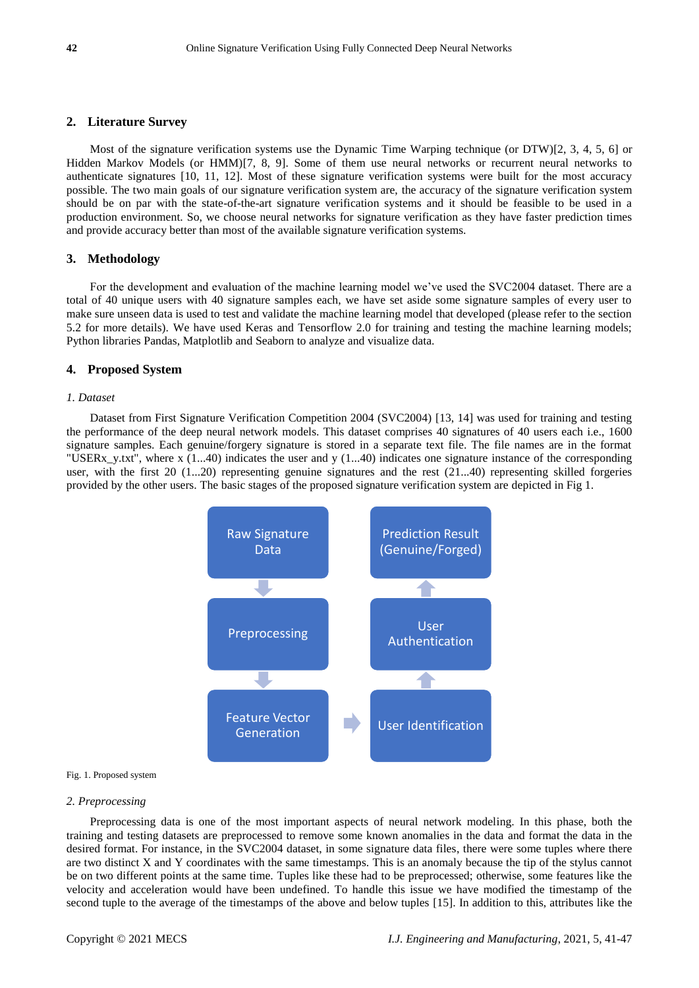## **2. Literature Survey**

Most of the signature verification systems use the Dynamic Time Warping technique (or DTW)[2, 3, 4, 5, 6] or Hidden Markov Models (or HMM)[7, 8, 9]. Some of them use neural networks or recurrent neural networks to authenticate signatures [10, 11, 12]. Most of these signature verification systems were built for the most accuracy possible. The two main goals of our signature verification system are, the accuracy of the signature verification system should be on par with the state-of-the-art signature verification systems and it should be feasible to be used in a production environment. So, we choose neural networks for signature verification as they have faster prediction times and provide accuracy better than most of the available signature verification systems.

#### **3. Methodology**

For the development and evaluation of the machine learning model we've used the SVC2004 dataset. There are a total of 40 unique users with 40 signature samples each, we have set aside some signature samples of every user to make sure unseen data is used to test and validate the machine learning model that developed (please refer to the section 5.2 for more details). We have used Keras and Tensorflow 2.0 for training and testing the machine learning models; Python libraries Pandas, Matplotlib and Seaborn to analyze and visualize data.

## **4. Proposed System**

#### *1. Dataset*

Dataset from First Signature Verification Competition 2004 (SVC2004) [13, 14] was used for training and testing the performance of the deep neural network models. This dataset comprises 40 signatures of 40 users each i.e., 1600 signature samples. Each genuine/forgery signature is stored in a separate text file. The file names are in the format "USERx y.txt", where x (1...40) indicates the user and y (1...40) indicates one signature instance of the corresponding user, with the first  $20$  (1...20) representing genuine signatures and the rest (21...40) representing skilled forgeries provided by the other users. The basic stages of the proposed signature verification system are depicted in Fig 1.



#### Fig. 1. Proposed system

#### *2. Preprocessing*

Preprocessing data is one of the most important aspects of neural network modeling. In this phase, both the training and testing datasets are preprocessed to remove some known anomalies in the data and format the data in the desired format. For instance, in the SVC2004 dataset, in some signature data files, there were some tuples where there are two distinct X and Y coordinates with the same timestamps. This is an anomaly because the tip of the stylus cannot be on two different points at the same time. Tuples like these had to be preprocessed; otherwise, some features like the velocity and acceleration would have been undefined. To handle this issue we have modified the timestamp of the second tuple to the average of the timestamps of the above and below tuples [15]. In addition to this, attributes like the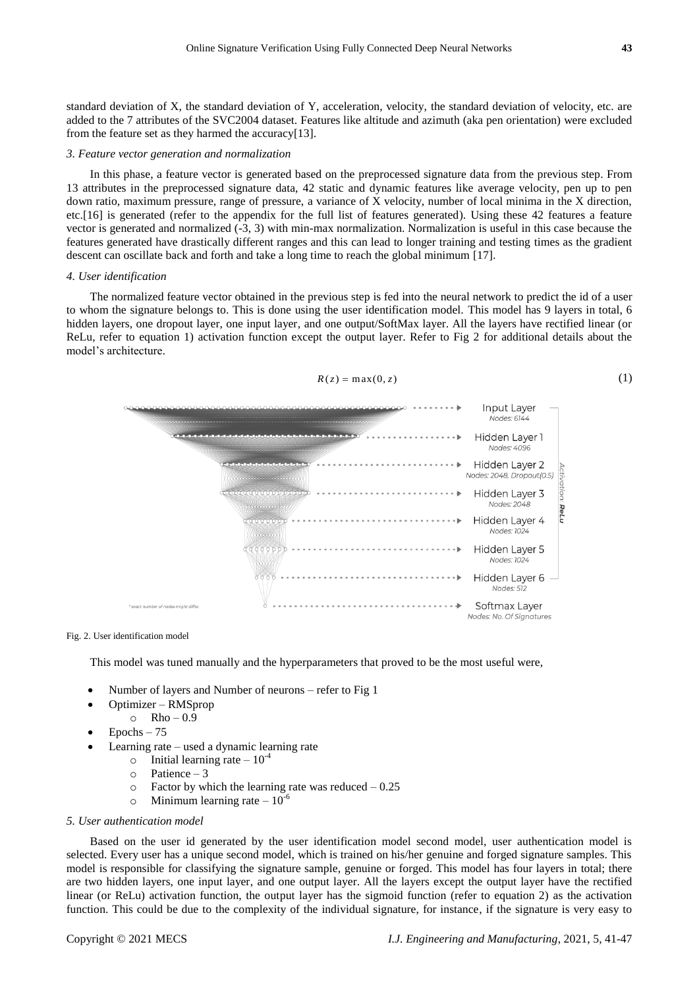standard deviation of X, the standard deviation of Y, acceleration, velocity, the standard deviation of velocity, etc. are added to the 7 attributes of the SVC2004 dataset. Features like altitude and azimuth (aka pen orientation) were excluded from the feature set as they harmed the accuracy[13].

#### *3. Feature vector generation and normalization*

In this phase, a feature vector is generated based on the preprocessed signature data from the previous step. From 13 attributes in the preprocessed signature data, 42 static and dynamic features like average velocity, pen up to pen down ratio, maximum pressure, range of pressure, a variance of X velocity, number of local minima in the X direction, etc.[16] is generated (refer to the appendix for the full list of features generated). Using these 42 features a feature vector is generated and normalized (-3, 3) with min-max normalization. Normalization is useful in this case because the features generated have drastically different ranges and this can lead to longer training and testing times as the gradient descent can oscillate back and forth and take a long time to reach the global minimum [17].

#### *4. User identification*

The normalized feature vector obtained in the previous step is fed into the neural network to predict the id of a user to whom the signature belongs to. This is done using the user identification model. This model has 9 layers in total, 6 hidden layers, one dropout layer, one input layer, and one output/SoftMax layer. All the layers have rectified linear (or ReLu, refer to equation 1) activation function except the output layer. Refer to Fig 2 for additional details about the model's architecture.



Fig. 2. User identification model

This model was tuned manually and the hyperparameters that proved to be the most useful were,

- Number of layers and Number of neurons refer to Fig 1
- Optimizer RMSprop
- $\circ$  Rho 0.9
- $\bullet$  Epochs 75
- Learning rate used a dynamic learning rate
	- $\circ$  Initial learning rate 10<sup>-4</sup>
	- o Patience 3
	- $\circ$  Factor by which the learning rate was reduced  $-0.25$
	- $\circ$  Minimum learning rate 10<sup>-6</sup>

### *5. User authentication model*

Based on the user id generated by the user identification model second model, user authentication model is selected. Every user has a unique second model, which is trained on his/her genuine and forged signature samples. This model is responsible for classifying the signature sample, genuine or forged. This model has four layers in total; there are two hidden layers, one input layer, and one output layer. All the layers except the output layer have the rectified linear (or ReLu) activation function, the output layer has the sigmoid function (refer to equation 2) as the activation function. This could be due to the complexity of the individual signature, for instance, if the signature is very easy to

(1)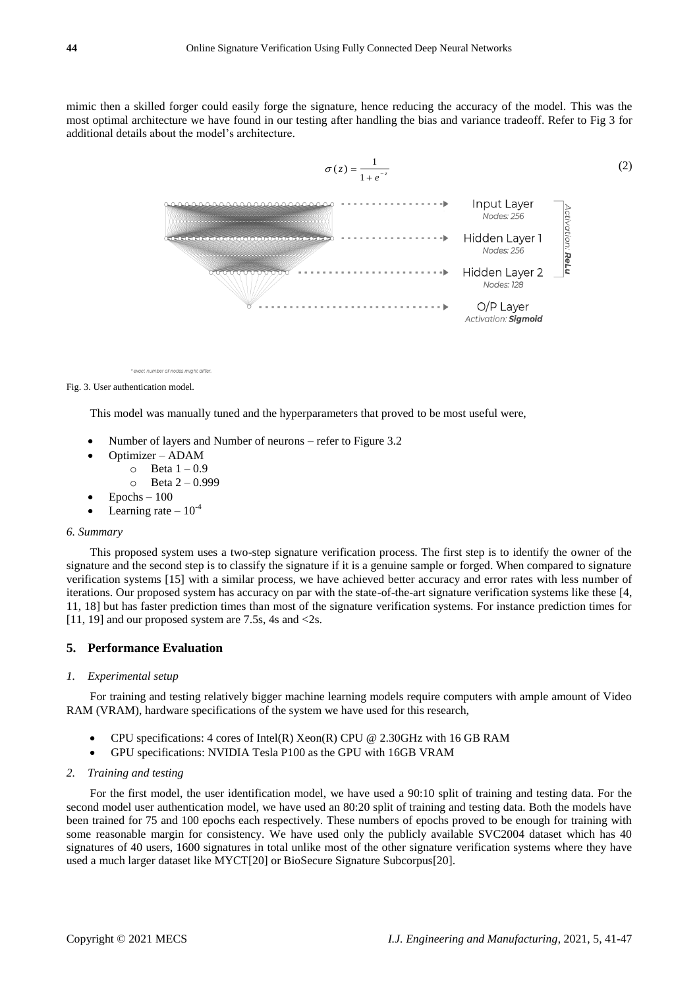mimic then a skilled forger could easily forge the signature, hence reducing the accuracy of the model. This was the most optimal architecture we have found in our testing after handling the bias and variance tradeoff. Refer to Fig 3 for additional details about the model's architecture.



\* exact number of nodes might differ

Fig. 3. User authentication model.

This model was manually tuned and the hyperparameters that proved to be most useful were,

- Number of layers and Number of neurons refer to Figure 3.2
- Optimizer ADAM
	- $\circ$  Beta  $1 0.9$ 
		- $\circ$  Beta 2 0.999
- Epochs 100
- Learning rate  $-10^{-4}$

#### *6. Summary*

This proposed system uses a two-step signature verification process. The first step is to identify the owner of the signature and the second step is to classify the signature if it is a genuine sample or forged. When compared to signature verification systems [15] with a similar process, we have achieved better accuracy and error rates with less number of iterations. Our proposed system has accuracy on par with the state-of-the-art signature verification systems like these [4, 11, 18] but has faster prediction times than most of the signature verification systems. For instance prediction times for [11, 19] and our proposed system are 7.5s, 4s and  $\langle 2s$ .

## **5. Performance Evaluation**

#### *1. Experimental setup*

For training and testing relatively bigger machine learning models require computers with ample amount of Video RAM (VRAM), hardware specifications of the system we have used for this research,

- CPU specifications: 4 cores of Intel(R) Xeon(R) CPU @ 2.30GHz with 16 GB RAM
- GPU specifications: NVIDIA Tesla P100 as the GPU with 16GB VRAM

#### *2. Training and testing*

For the first model, the user identification model, we have used a 90:10 split of training and testing data. For the second model user authentication model, we have used an 80:20 split of training and testing data. Both the models have been trained for 75 and 100 epochs each respectively. These numbers of epochs proved to be enough for training with some reasonable margin for consistency. We have used only the publicly available SVC2004 dataset which has 40 signatures of 40 users, 1600 signatures in total unlike most of the other signature verification systems where they have used a much larger dataset like MYCT[20] or BioSecure Signature Subcorpus[20].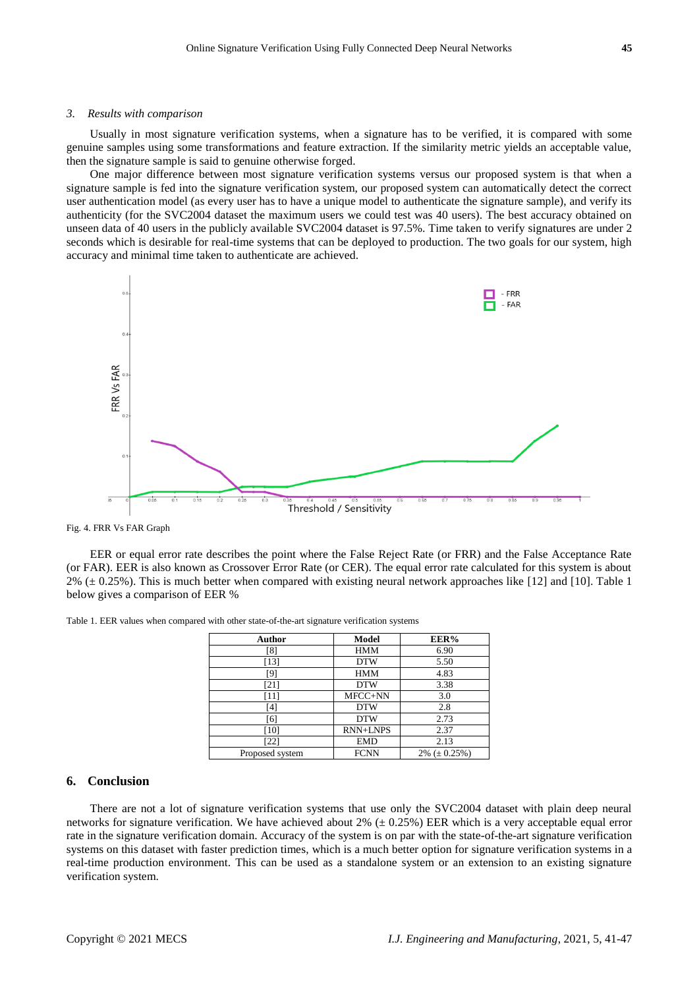#### *3. Results with comparison*

Usually in most signature verification systems, when a signature has to be verified, it is compared with some genuine samples using some transformations and feature extraction. If the similarity metric yields an acceptable value, then the signature sample is said to genuine otherwise forged.

One major difference between most signature verification systems versus our proposed system is that when a signature sample is fed into the signature verification system, our proposed system can automatically detect the correct user authentication model (as every user has to have a unique model to authenticate the signature sample), and verify its authenticity (for the SVC2004 dataset the maximum users we could test was 40 users). The best accuracy obtained on unseen data of 40 users in the publicly available SVC2004 dataset is 97.5%. Time taken to verify signatures are under 2 seconds which is desirable for real-time systems that can be deployed to production. The two goals for our system, high accuracy and minimal time taken to authenticate are achieved.



Fig. 4. FRR Vs FAR Graph

EER or equal error rate describes the point where the False Reject Rate (or FRR) and the False Acceptance Rate (or FAR). EER is also known as Crossover Error Rate (or CER). The equal error rate calculated for this system is about  $2\%$  ( $\pm$  0.25%). This is much better when compared with existing neural network approaches like [12] and [10]. Table 1 below gives a comparison of EER %

| Author          | Model           | EER%                 |
|-----------------|-----------------|----------------------|
| $^{[8]}$        | <b>HMM</b>      | 6.90                 |
| [13]            | <b>DTW</b>      | 5.50                 |
| [9]             | <b>HMM</b>      | 4.83                 |
| [21]            | <b>DTW</b>      | 3.38                 |
| '11]            | MFCC+NN         | 3.0                  |
| [4]             | <b>DTW</b>      | 2.8                  |
| [6]             | <b>DTW</b>      | 2.73                 |
| [10]            | <b>RNN+LNPS</b> | 2.37                 |
| [22]            | <b>EMD</b>      | 2.13                 |
| Proposed system | <b>FCNN</b>     | $2\%$ ( $\pm$ 0.25%) |

Table 1. EER values when compared with other state-of-the-art signature verification systems

## **6. Conclusion**

There are not a lot of signature verification systems that use only the SVC2004 dataset with plain deep neural networks for signature verification. We have achieved about 2% ( $\pm$ 0.25%) EER which is a very acceptable equal error rate in the signature verification domain. Accuracy of the system is on par with the state-of-the-art signature verification systems on this dataset with faster prediction times, which is a much better option for signature verification systems in a real-time production environment. This can be used as a standalone system or an extension to an existing signature verification system.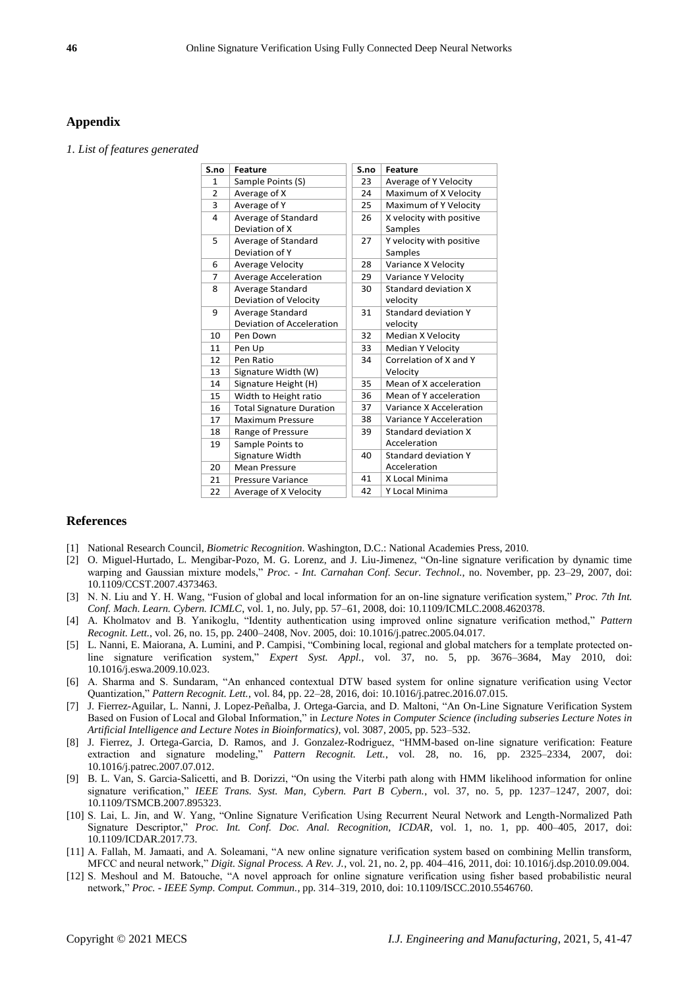## **Appendix**

*1. List of features generated*

| S.no           | <b>Feature</b>                  | S.no | <b>Feature</b>              |
|----------------|---------------------------------|------|-----------------------------|
| $\mathbf{1}$   | Sample Points (S)               | 23   | Average of Y Velocity       |
| $\overline{2}$ | Average of X                    | 24   | Maximum of X Velocity       |
| 3              | Average of Y                    | 25   | Maximum of Y Velocity       |
| 4              | Average of Standard             | 26   | X velocity with positive    |
|                | Deviation of X                  |      | Samples                     |
| 5              | Average of Standard             | 27   | Y velocity with positive    |
|                | Deviation of Y                  |      | Samples                     |
| 6              | <b>Average Velocity</b>         | 28   | Variance X Velocity         |
| 7              | <b>Average Acceleration</b>     | 29   | Variance Y Velocity         |
| 8              | Average Standard                | 30   | Standard deviation X        |
|                | Deviation of Velocity           |      | velocity                    |
| 9              | Average Standard                | 31   | Standard deviation Y        |
|                | Deviation of Acceleration       |      | velocity                    |
| 10             | Pen Down                        | 32   | Median X Velocity           |
| 11             | Pen Up                          | 33   | <b>Median Y Velocity</b>    |
| 12             | Pen Ratio                       | 34   | Correlation of X and Y      |
| 13             | Signature Width (W)             |      | Velocity                    |
| 14             | Signature Height (H)            | 35   | Mean of X acceleration      |
| 15             | Width to Height ratio           | 36   | Mean of Y acceleration      |
| 16             | <b>Total Signature Duration</b> | 37   | Variance X Acceleration     |
| 17             | <b>Maximum Pressure</b>         | 38   | Variance Y Acceleration     |
| 18             | Range of Pressure               | 39   | Standard deviation X        |
| 19             | Sample Points to                |      | Acceleration                |
|                | Signature Width                 | 40   | <b>Standard deviation Y</b> |
| 20             | <b>Mean Pressure</b>            |      | Acceleration                |
| 21             | Pressure Variance               | 41   | X Local Minima              |
| 22             | Average of X Velocity           | 42   | Y Local Minima              |

## **References**

- [1] National Research Council, *Biometric Recognition*. Washington, D.C.: National Academies Press, 2010.
- [2] O. Miguel-Hurtado, L. Mengibar-Pozo, M. G. Lorenz, and J. Liu-Jimenez, "On-line signature verification by dynamic time warping and Gaussian mixture models," *Proc. - Int. Carnahan Conf. Secur. Technol.*, no. November, pp. 23–29, 2007, doi: 10.1109/CCST.2007.4373463.
- [3] N. N. Liu and Y. H. Wang, "Fusion of global and local information for an on-line signature verification system," *Proc. 7th Int. Conf. Mach. Learn. Cybern. ICMLC*, vol. 1, no. July, pp. 57–61, 2008, doi: 10.1109/ICMLC.2008.4620378.
- [4] A. Kholmatov and B. Yanikoglu, "Identity authentication using improved online signature verification method," *Pattern Recognit. Lett.*, vol. 26, no. 15, pp. 2400–2408, Nov. 2005, doi: 10.1016/j.patrec.2005.04.017.
- [5] L. Nanni, E. Maiorana, A. Lumini, and P. Campisi, "Combining local, regional and global matchers for a template protected online signature verification system," *Expert Syst. Appl.*, vol. 37, no. 5, pp. 3676–3684, May 2010, doi: 10.1016/j.eswa.2009.10.023.
- [6] A. Sharma and S. Sundaram, "An enhanced contextual DTW based system for online signature verification using Vector Quantization," *Pattern Recognit. Lett.*, vol. 84, pp. 22–28, 2016, doi: 10.1016/j.patrec.2016.07.015.
- [7] J. Fierrez-Aguilar, L. Nanni, J. Lopez-Peñalba, J. Ortega-Garcia, and D. Maltoni, "An On-Line Signature Verification System Based on Fusion of Local and Global Information," in *Lecture Notes in Computer Science (including subseries Lecture Notes in Artificial Intelligence and Lecture Notes in Bioinformatics)*, vol. 3087, 2005, pp. 523–532.
- [8] J. Fierrez, J. Ortega-Garcia, D. Ramos, and J. Gonzalez-Rodriguez, "HMM-based on-line signature verification: Feature extraction and signature modeling," *Pattern Recognit. Lett.*, vol. 28, no. 16, pp. 2325–2334, 2007, doi: 10.1016/j.patrec.2007.07.012.
- [9] B. L. Van, S. Garcia-Salicetti, and B. Dorizzi, "On using the Viterbi path along with HMM likelihood information for online signature verification," *IEEE Trans. Syst. Man, Cybern. Part B Cybern.*, vol. 37, no. 5, pp. 1237–1247, 2007, doi: 10.1109/TSMCB.2007.895323.
- [10] S. Lai, L. Jin, and W. Yang, "Online Signature Verification Using Recurrent Neural Network and Length-Normalized Path Signature Descriptor," *Proc. Int. Conf. Doc. Anal. Recognition, ICDAR*, vol. 1, no. 1, pp. 400–405, 2017, doi: 10.1109/ICDAR.2017.73.
- [11] A. Fallah, M. Jamaati, and A. Soleamani, "A new online signature verification system based on combining Mellin transform, MFCC and neural network," *Digit. Signal Process. A Rev. J.*, vol. 21, no. 2, pp. 404–416, 2011, doi: 10.1016/j.dsp.2010.09.004.
- [12] S. Meshoul and M. Batouche, "A novel approach for online signature verification using fisher based probabilistic neural network," *Proc. - IEEE Symp. Comput. Commun.*, pp. 314–319, 2010, doi: 10.1109/ISCC.2010.5546760.